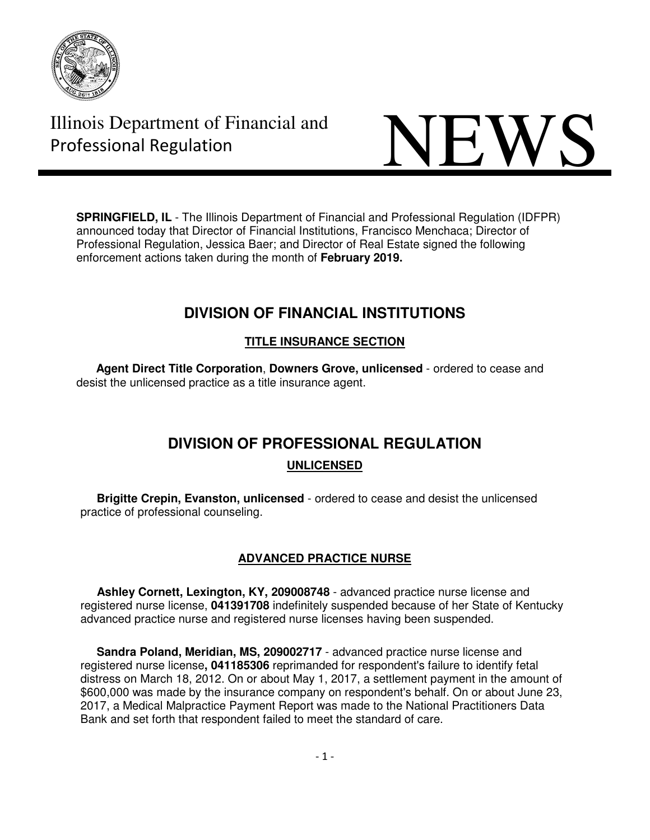



**SPRINGFIELD, IL** - The Illinois Department of Financial and Professional Regulation (IDFPR) announced today that Director of Financial Institutions, Francisco Menchaca; Director of Professional Regulation, Jessica Baer; and Director of Real Estate signed the following enforcement actions taken during the month of **February 2019.** 

# **DIVISION OF FINANCIAL INSTITUTIONS**

# **TITLE INSURANCE SECTION**

 **Agent Direct Title Corporation**, **Downers Grove, unlicensed** - ordered to cease and desist the unlicensed practice as a title insurance agent.

# **DIVISION OF PROFESSIONAL REGULATION**

# **UNLICENSED**

 **Brigitte Crepin, Evanston, unlicensed** - ordered to cease and desist the unlicensed practice of professional counseling.

# **ADVANCED PRACTICE NURSE**

 **Ashley Cornett, Lexington, KY, 209008748** - advanced practice nurse license and registered nurse license, **041391708** indefinitely suspended because of her State of Kentucky advanced practice nurse and registered nurse licenses having been suspended.

 **Sandra Poland, Meridian, MS, 209002717** - advanced practice nurse license and registered nurse license**, 041185306** reprimanded for respondent's failure to identify fetal distress on March 18, 2012. On or about May 1, 2017, a settlement payment in the amount of \$600,000 was made by the insurance company on respondent's behalf. On or about June 23, 2017, a Medical Malpractice Payment Report was made to the National Practitioners Data Bank and set forth that respondent failed to meet the standard of care.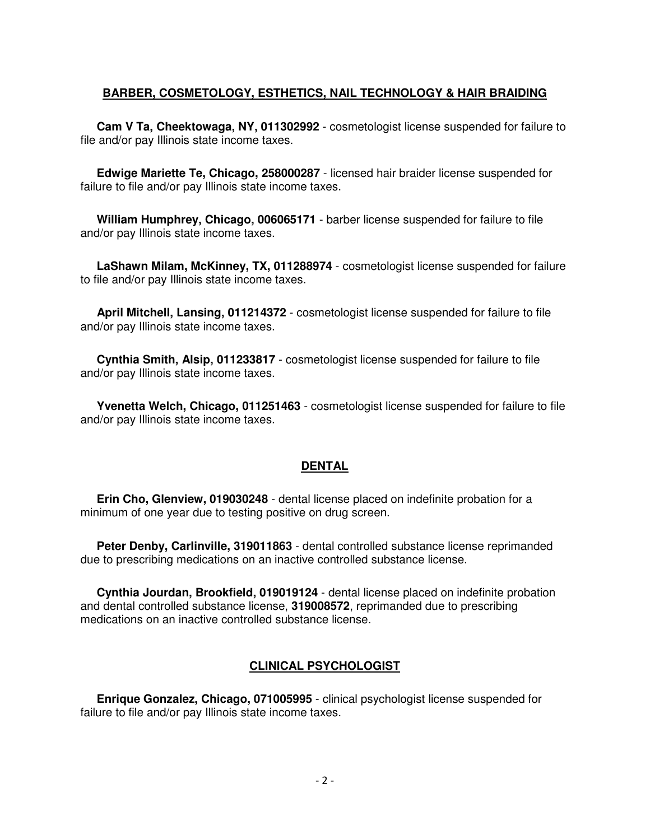# **BARBER, COSMETOLOGY, ESTHETICS, NAIL TECHNOLOGY & HAIR BRAIDING**

 **Cam V Ta, Cheektowaga, NY, 011302992** - cosmetologist license suspended for failure to file and/or pay Illinois state income taxes.

 **Edwige Mariette Te, Chicago, 258000287** - licensed hair braider license suspended for failure to file and/or pay Illinois state income taxes.

 **William Humphrey, Chicago, 006065171** - barber license suspended for failure to file and/or pay Illinois state income taxes.

 **LaShawn Milam, McKinney, TX, 011288974** - cosmetologist license suspended for failure to file and/or pay Illinois state income taxes.

 **April Mitchell, Lansing, 011214372** - cosmetologist license suspended for failure to file and/or pay Illinois state income taxes.

 **Cynthia Smith, Alsip, 011233817** - cosmetologist license suspended for failure to file and/or pay Illinois state income taxes.

 **Yvenetta Welch, Chicago, 011251463** - cosmetologist license suspended for failure to file and/or pay Illinois state income taxes.

# **DENTAL**

 **Erin Cho, Glenview, 019030248** - dental license placed on indefinite probation for a minimum of one year due to testing positive on drug screen.

 **Peter Denby, Carlinville, 319011863** - dental controlled substance license reprimanded due to prescribing medications on an inactive controlled substance license.

 **Cynthia Jourdan, Brookfield, 019019124** - dental license placed on indefinite probation and dental controlled substance license, **319008572**, reprimanded due to prescribing medications on an inactive controlled substance license.

# **CLINICAL PSYCHOLOGIST**

 **Enrique Gonzalez, Chicago, 071005995** - clinical psychologist license suspended for failure to file and/or pay Illinois state income taxes.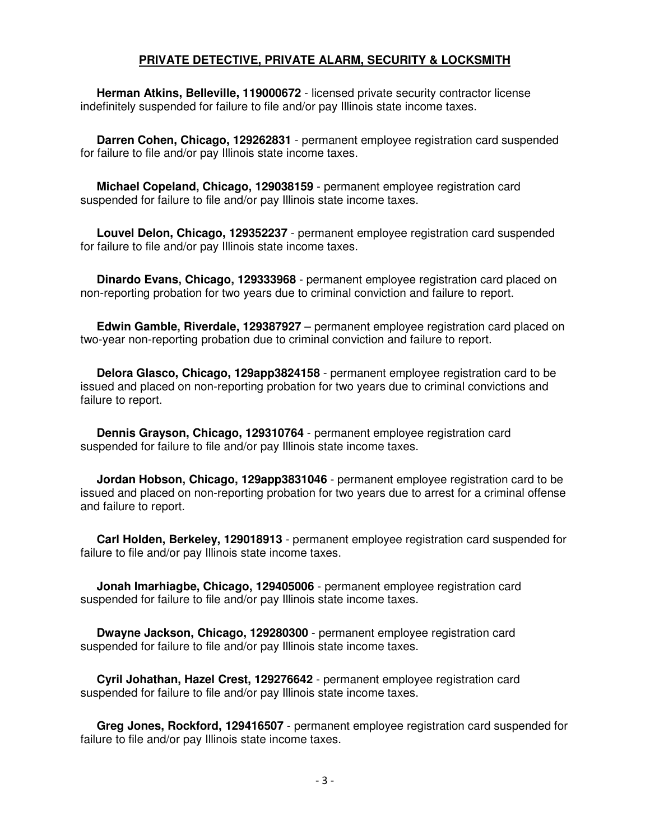# **PRIVATE DETECTIVE, PRIVATE ALARM, SECURITY & LOCKSMITH**

 **Herman Atkins, Belleville, 119000672** - licensed private security contractor license indefinitely suspended for failure to file and/or pay Illinois state income taxes.

 **Darren Cohen, Chicago, 129262831** - permanent employee registration card suspended for failure to file and/or pay Illinois state income taxes.

 **Michael Copeland, Chicago, 129038159** - permanent employee registration card suspended for failure to file and/or pay Illinois state income taxes.

 **Louvel Delon, Chicago, 129352237** - permanent employee registration card suspended for failure to file and/or pay Illinois state income taxes.

 **Dinardo Evans, Chicago, 129333968** - permanent employee registration card placed on non-reporting probation for two years due to criminal conviction and failure to report.

 **Edwin Gamble, Riverdale, 129387927** – permanent employee registration card placed on two-year non-reporting probation due to criminal conviction and failure to report.

 **Delora Glasco, Chicago, 129app3824158** - permanent employee registration card to be issued and placed on non-reporting probation for two years due to criminal convictions and failure to report.

 **Dennis Grayson, Chicago, 129310764** - permanent employee registration card suspended for failure to file and/or pay Illinois state income taxes.

 **Jordan Hobson, Chicago, 129app3831046** - permanent employee registration card to be issued and placed on non-reporting probation for two years due to arrest for a criminal offense and failure to report.

 **Carl Holden, Berkeley, 129018913** - permanent employee registration card suspended for failure to file and/or pay Illinois state income taxes.

 **Jonah Imarhiagbe, Chicago, 129405006** - permanent employee registration card suspended for failure to file and/or pay Illinois state income taxes.

 **Dwayne Jackson, Chicago, 129280300** - permanent employee registration card suspended for failure to file and/or pay Illinois state income taxes.

 **Cyril Johathan, Hazel Crest, 129276642** - permanent employee registration card suspended for failure to file and/or pay Illinois state income taxes.

 **Greg Jones, Rockford, 129416507** - permanent employee registration card suspended for failure to file and/or pay Illinois state income taxes.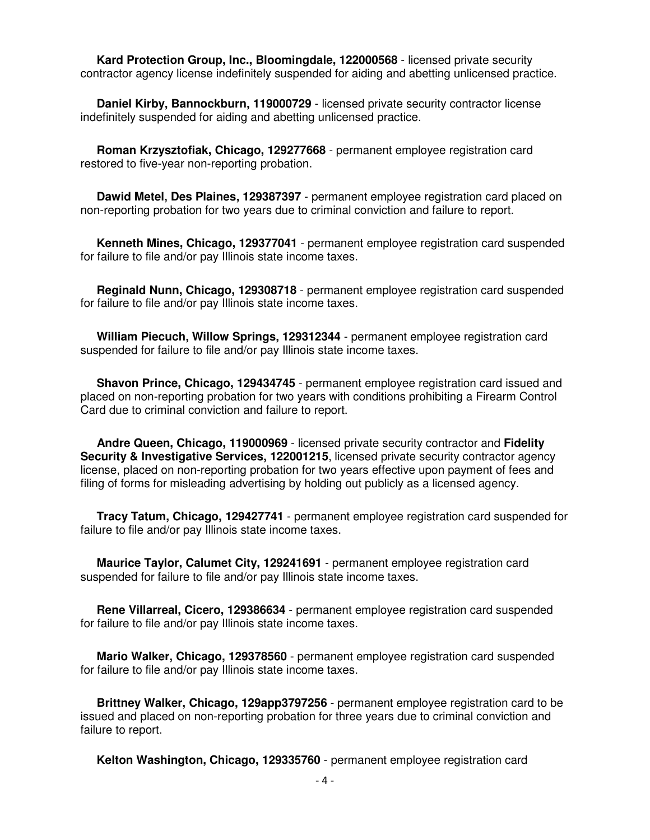**Kard Protection Group, Inc., Bloomingdale, 122000568** - licensed private security contractor agency license indefinitely suspended for aiding and abetting unlicensed practice.

 **Daniel Kirby, Bannockburn, 119000729** - licensed private security contractor license indefinitely suspended for aiding and abetting unlicensed practice.

 **Roman Krzysztofiak, Chicago, 129277668** - permanent employee registration card restored to five-year non-reporting probation.

 **Dawid Metel, Des Plaines, 129387397** - permanent employee registration card placed on non-reporting probation for two years due to criminal conviction and failure to report.

 **Kenneth Mines, Chicago, 129377041** - permanent employee registration card suspended for failure to file and/or pay Illinois state income taxes.

 **Reginald Nunn, Chicago, 129308718** - permanent employee registration card suspended for failure to file and/or pay Illinois state income taxes.

 **William Piecuch, Willow Springs, 129312344** - permanent employee registration card suspended for failure to file and/or pay Illinois state income taxes.

 **Shavon Prince, Chicago, 129434745** - permanent employee registration card issued and placed on non-reporting probation for two years with conditions prohibiting a Firearm Control Card due to criminal conviction and failure to report.

 **Andre Queen, Chicago, 119000969** - licensed private security contractor and **Fidelity Security & Investigative Services, 122001215**, licensed private security contractor agency license, placed on non-reporting probation for two years effective upon payment of fees and filing of forms for misleading advertising by holding out publicly as a licensed agency.

 **Tracy Tatum, Chicago, 129427741** - permanent employee registration card suspended for failure to file and/or pay Illinois state income taxes.

 **Maurice Taylor, Calumet City, 129241691** - permanent employee registration card suspended for failure to file and/or pay Illinois state income taxes.

 **Rene Villarreal, Cicero, 129386634** - permanent employee registration card suspended for failure to file and/or pay Illinois state income taxes.

 **Mario Walker, Chicago, 129378560** - permanent employee registration card suspended for failure to file and/or pay Illinois state income taxes.

 **Brittney Walker, Chicago, 129app3797256** - permanent employee registration card to be issued and placed on non-reporting probation for three years due to criminal conviction and failure to report.

 **Kelton Washington, Chicago, 129335760** - permanent employee registration card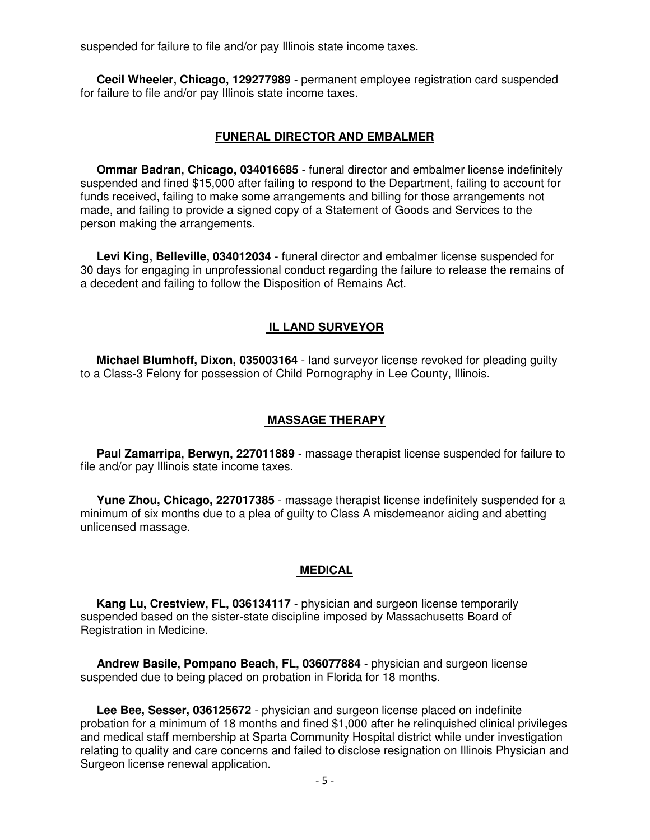suspended for failure to file and/or pay Illinois state income taxes.

 **Cecil Wheeler, Chicago, 129277989** - permanent employee registration card suspended for failure to file and/or pay Illinois state income taxes.

## **FUNERAL DIRECTOR AND EMBALMER**

 **Ommar Badran, Chicago, 034016685** - funeral director and embalmer license indefinitely suspended and fined \$15,000 after failing to respond to the Department, failing to account for funds received, failing to make some arrangements and billing for those arrangements not made, and failing to provide a signed copy of a Statement of Goods and Services to the person making the arrangements.

 **Levi King, Belleville, 034012034** - funeral director and embalmer license suspended for 30 days for engaging in unprofessional conduct regarding the failure to release the remains of a decedent and failing to follow the Disposition of Remains Act.

## **IL LAND SURVEYOR**

 **Michael Blumhoff, Dixon, 035003164** - land surveyor license revoked for pleading guilty to a Class-3 Felony for possession of Child Pornography in Lee County, Illinois.

# **MASSAGE THERAPY**

 **Paul Zamarripa, Berwyn, 227011889** - massage therapist license suspended for failure to file and/or pay Illinois state income taxes.

 **Yune Zhou, Chicago, 227017385** - massage therapist license indefinitely suspended for a minimum of six months due to a plea of guilty to Class A misdemeanor aiding and abetting unlicensed massage.

#### **MEDICAL**

 **Kang Lu, Crestview, FL, 036134117** - physician and surgeon license temporarily suspended based on the sister-state discipline imposed by Massachusetts Board of Registration in Medicine.

 **Andrew Basile, Pompano Beach, FL, 036077884** - physician and surgeon license suspended due to being placed on probation in Florida for 18 months.

 **Lee Bee, Sesser, 036125672** - physician and surgeon license placed on indefinite probation for a minimum of 18 months and fined \$1,000 after he relinquished clinical privileges and medical staff membership at Sparta Community Hospital district while under investigation relating to quality and care concerns and failed to disclose resignation on Illinois Physician and Surgeon license renewal application.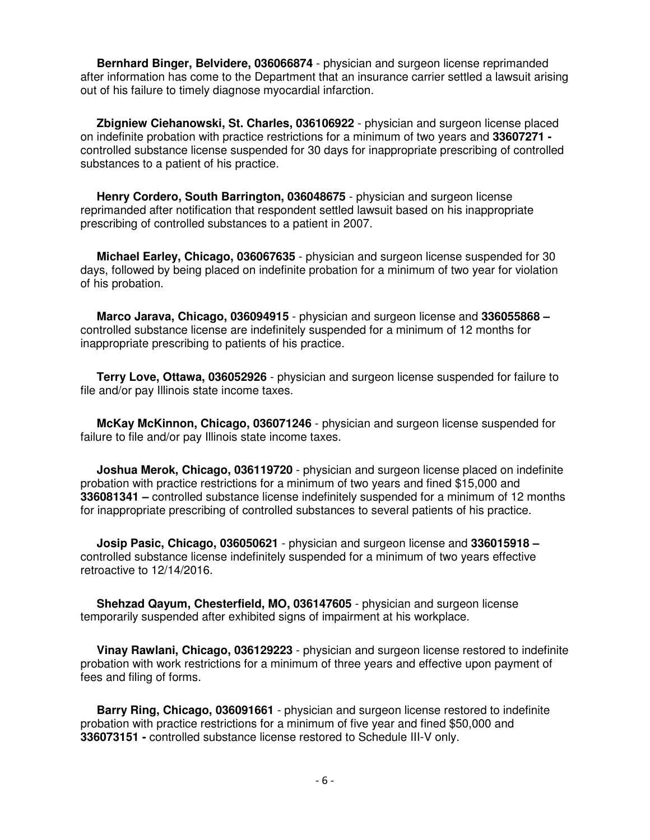**Bernhard Binger, Belvidere, 036066874** - physician and surgeon license reprimanded after information has come to the Department that an insurance carrier settled a lawsuit arising out of his failure to timely diagnose myocardial infarction.

 **Zbigniew Ciehanowski, St. Charles, 036106922** - physician and surgeon license placed on indefinite probation with practice restrictions for a minimum of two years and **33607271**  controlled substance license suspended for 30 days for inappropriate prescribing of controlled substances to a patient of his practice.

 **Henry Cordero, South Barrington, 036048675** - physician and surgeon license reprimanded after notification that respondent settled lawsuit based on his inappropriate prescribing of controlled substances to a patient in 2007.

 **Michael Earley, Chicago, 036067635** - physician and surgeon license suspended for 30 days, followed by being placed on indefinite probation for a minimum of two year for violation of his probation.

 **Marco Jarava, Chicago, 036094915** - physician and surgeon license and **336055868 –**  controlled substance license are indefinitely suspended for a minimum of 12 months for inappropriate prescribing to patients of his practice.

 **Terry Love, Ottawa, 036052926** - physician and surgeon license suspended for failure to file and/or pay Illinois state income taxes.

 **McKay McKinnon, Chicago, 036071246** - physician and surgeon license suspended for failure to file and/or pay Illinois state income taxes.

 **Joshua Merok, Chicago, 036119720** - physician and surgeon license placed on indefinite probation with practice restrictions for a minimum of two years and fined \$15,000 and **336081341 –** controlled substance license indefinitely suspended for a minimum of 12 months for inappropriate prescribing of controlled substances to several patients of his practice.

 **Josip Pasic, Chicago, 036050621** - physician and surgeon license and **336015918 –** controlled substance license indefinitely suspended for a minimum of two years effective retroactive to 12/14/2016.

 **Shehzad Qayum, Chesterfield, MO, 036147605** - physician and surgeon license temporarily suspended after exhibited signs of impairment at his workplace.

 **Vinay Rawlani, Chicago, 036129223** - physician and surgeon license restored to indefinite probation with work restrictions for a minimum of three years and effective upon payment of fees and filing of forms.

 **Barry Ring, Chicago, 036091661** - physician and surgeon license restored to indefinite probation with practice restrictions for a minimum of five year and fined \$50,000 and **336073151 -** controlled substance license restored to Schedule III-V only.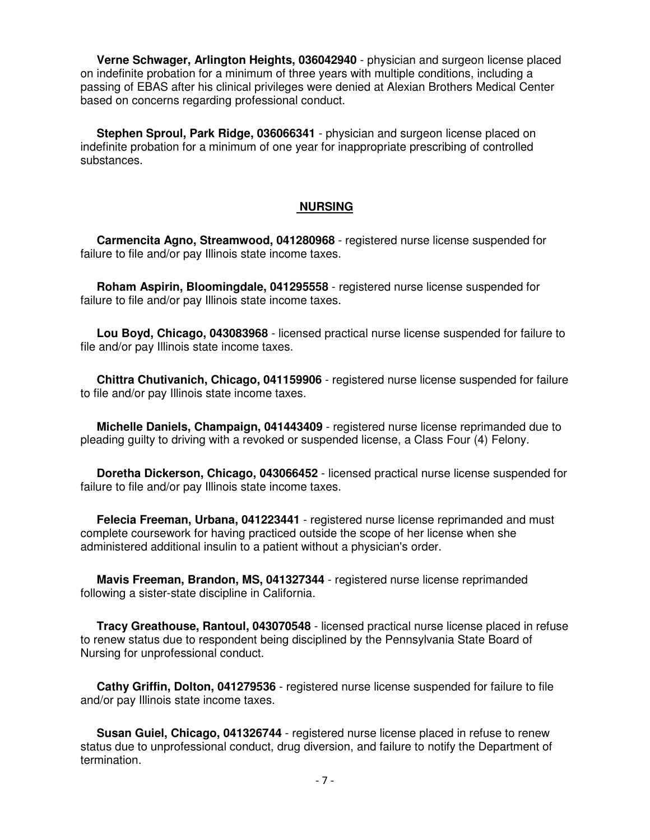**Verne Schwager, Arlington Heights, 036042940** - physician and surgeon license placed on indefinite probation for a minimum of three years with multiple conditions, including a passing of EBAS after his clinical privileges were denied at Alexian Brothers Medical Center based on concerns regarding professional conduct.

 **Stephen Sproul, Park Ridge, 036066341** - physician and surgeon license placed on indefinite probation for a minimum of one year for inappropriate prescribing of controlled substances.

#### **NURSING**

 **Carmencita Agno, Streamwood, 041280968** - registered nurse license suspended for failure to file and/or pay Illinois state income taxes.

 **Roham Aspirin, Bloomingdale, 041295558** - registered nurse license suspended for failure to file and/or pay Illinois state income taxes.

 **Lou Boyd, Chicago, 043083968** - licensed practical nurse license suspended for failure to file and/or pay Illinois state income taxes.

 **Chittra Chutivanich, Chicago, 041159906** - registered nurse license suspended for failure to file and/or pay Illinois state income taxes.

 **Michelle Daniels, Champaign, 041443409** - registered nurse license reprimanded due to pleading guilty to driving with a revoked or suspended license, a Class Four (4) Felony.

 **Doretha Dickerson, Chicago, 043066452** - licensed practical nurse license suspended for failure to file and/or pay Illinois state income taxes.

 **Felecia Freeman, Urbana, 041223441** - registered nurse license reprimanded and must complete coursework for having practiced outside the scope of her license when she administered additional insulin to a patient without a physician's order.

 **Mavis Freeman, Brandon, MS, 041327344** - registered nurse license reprimanded following a sister-state discipline in California.

 **Tracy Greathouse, Rantoul, 043070548** - licensed practical nurse license placed in refuse to renew status due to respondent being disciplined by the Pennsylvania State Board of Nursing for unprofessional conduct.

 **Cathy Griffin, Dolton, 041279536** - registered nurse license suspended for failure to file and/or pay Illinois state income taxes.

 **Susan Guiel, Chicago, 041326744** - registered nurse license placed in refuse to renew status due to unprofessional conduct, drug diversion, and failure to notify the Department of termination.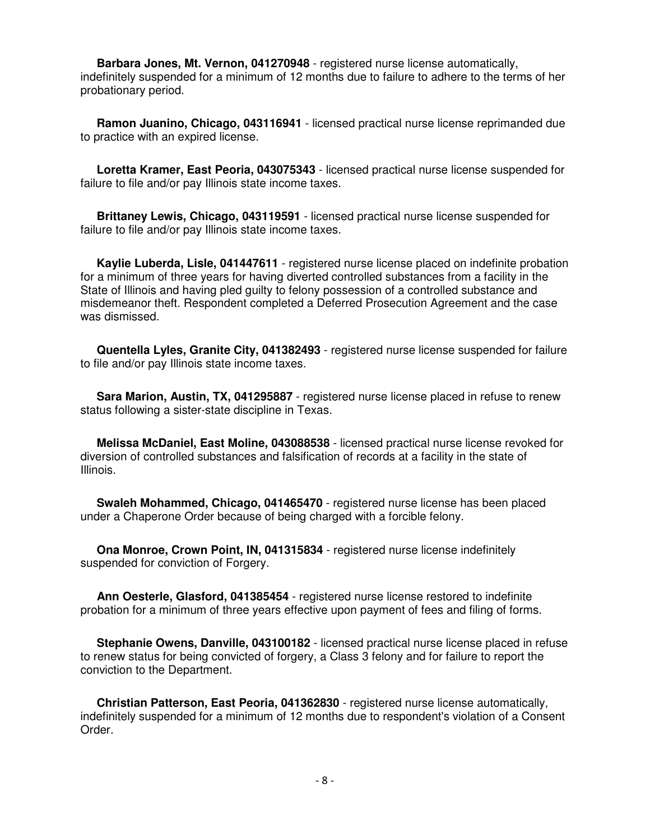**Barbara Jones, Mt. Vernon, 041270948** - registered nurse license automatically, indefinitely suspended for a minimum of 12 months due to failure to adhere to the terms of her probationary period.

 **Ramon Juanino, Chicago, 043116941** - licensed practical nurse license reprimanded due to practice with an expired license.

 **Loretta Kramer, East Peoria, 043075343** - licensed practical nurse license suspended for failure to file and/or pay Illinois state income taxes.

 **Brittaney Lewis, Chicago, 043119591** - licensed practical nurse license suspended for failure to file and/or pay Illinois state income taxes.

 **Kaylie Luberda, Lisle, 041447611** - registered nurse license placed on indefinite probation for a minimum of three years for having diverted controlled substances from a facility in the State of Illinois and having pled guilty to felony possession of a controlled substance and misdemeanor theft. Respondent completed a Deferred Prosecution Agreement and the case was dismissed.

 **Quentella Lyles, Granite City, 041382493** - registered nurse license suspended for failure to file and/or pay Illinois state income taxes.

 **Sara Marion, Austin, TX, 041295887** - registered nurse license placed in refuse to renew status following a sister-state discipline in Texas.

 **Melissa McDaniel, East Moline, 043088538** - licensed practical nurse license revoked for diversion of controlled substances and falsification of records at a facility in the state of Illinois.

 **Swaleh Mohammed, Chicago, 041465470** - registered nurse license has been placed under a Chaperone Order because of being charged with a forcible felony.

 **Ona Monroe, Crown Point, IN, 041315834** - registered nurse license indefinitely suspended for conviction of Forgery.

 **Ann Oesterle, Glasford, 041385454** - registered nurse license restored to indefinite probation for a minimum of three years effective upon payment of fees and filing of forms.

 **Stephanie Owens, Danville, 043100182** - licensed practical nurse license placed in refuse to renew status for being convicted of forgery, a Class 3 felony and for failure to report the conviction to the Department.

 **Christian Patterson, East Peoria, 041362830** - registered nurse license automatically, indefinitely suspended for a minimum of 12 months due to respondent's violation of a Consent Order.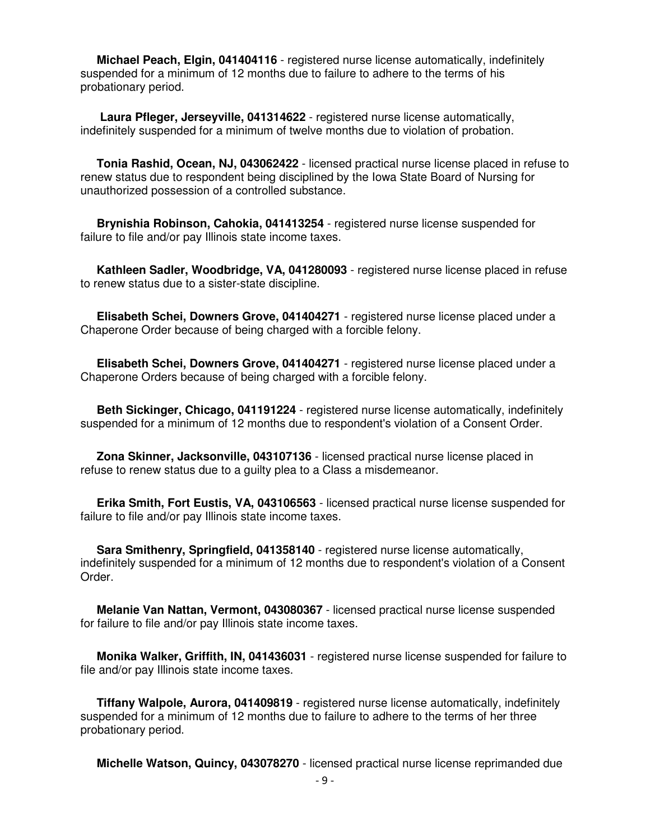**Michael Peach, Elgin, 041404116** - registered nurse license automatically, indefinitely suspended for a minimum of 12 months due to failure to adhere to the terms of his probationary period.

 **Laura Pfleger, Jerseyville, 041314622** - registered nurse license automatically, indefinitely suspended for a minimum of twelve months due to violation of probation.

 **Tonia Rashid, Ocean, NJ, 043062422** - licensed practical nurse license placed in refuse to renew status due to respondent being disciplined by the Iowa State Board of Nursing for unauthorized possession of a controlled substance.

 **Brynishia Robinson, Cahokia, 041413254** - registered nurse license suspended for failure to file and/or pay Illinois state income taxes.

 **Kathleen Sadler, Woodbridge, VA, 041280093** - registered nurse license placed in refuse to renew status due to a sister-state discipline.

 **Elisabeth Schei, Downers Grove, 041404271** - registered nurse license placed under a Chaperone Order because of being charged with a forcible felony.

 **Elisabeth Schei, Downers Grove, 041404271** - registered nurse license placed under a Chaperone Orders because of being charged with a forcible felony.

 **Beth Sickinger, Chicago, 041191224** - registered nurse license automatically, indefinitely suspended for a minimum of 12 months due to respondent's violation of a Consent Order.

 **Zona Skinner, Jacksonville, 043107136** - licensed practical nurse license placed in refuse to renew status due to a guilty plea to a Class a misdemeanor.

 **Erika Smith, Fort Eustis, VA, 043106563** - licensed practical nurse license suspended for failure to file and/or pay Illinois state income taxes.

 **Sara Smithenry, Springfield, 041358140** - registered nurse license automatically, indefinitely suspended for a minimum of 12 months due to respondent's violation of a Consent Order.

 **Melanie Van Nattan, Vermont, 043080367** - licensed practical nurse license suspended for failure to file and/or pay Illinois state income taxes.

 **Monika Walker, Griffith, IN, 041436031** - registered nurse license suspended for failure to file and/or pay Illinois state income taxes.

 **Tiffany Walpole, Aurora, 041409819** - registered nurse license automatically, indefinitely suspended for a minimum of 12 months due to failure to adhere to the terms of her three probationary period.

**Michelle Watson, Quincy, 043078270** - licensed practical nurse license reprimanded due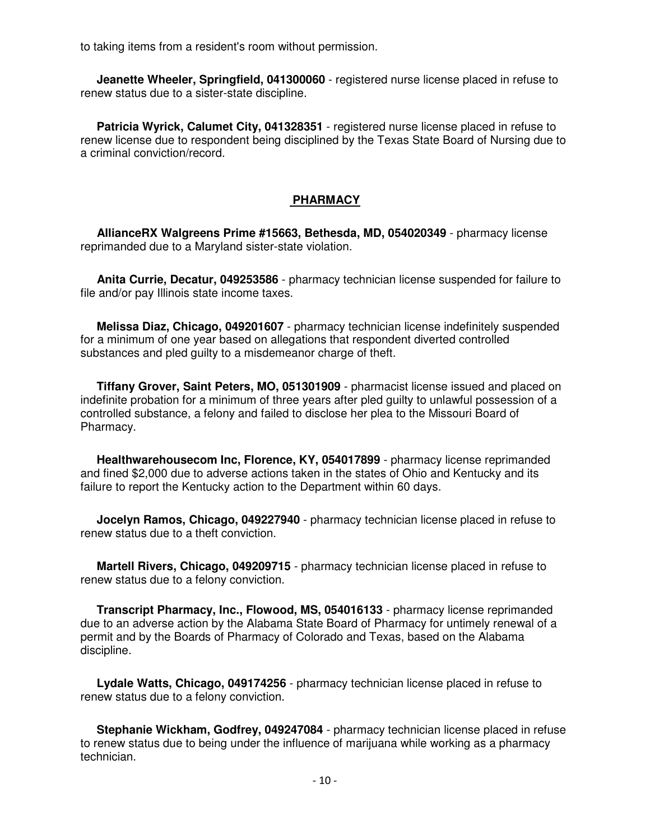to taking items from a resident's room without permission.

 **Jeanette Wheeler, Springfield, 041300060** - registered nurse license placed in refuse to renew status due to a sister-state discipline.

 **Patricia Wyrick, Calumet City, 041328351** - registered nurse license placed in refuse to renew license due to respondent being disciplined by the Texas State Board of Nursing due to a criminal conviction/record.

# **PHARMACY**

 **AllianceRX Walgreens Prime #15663, Bethesda, MD, 054020349** - pharmacy license reprimanded due to a Maryland sister-state violation.

 **Anita Currie, Decatur, 049253586** - pharmacy technician license suspended for failure to file and/or pay Illinois state income taxes.

 **Melissa Diaz, Chicago, 049201607** - pharmacy technician license indefinitely suspended for a minimum of one year based on allegations that respondent diverted controlled substances and pled guilty to a misdemeanor charge of theft.

 **Tiffany Grover, Saint Peters, MO, 051301909** - pharmacist license issued and placed on indefinite probation for a minimum of three years after pled guilty to unlawful possession of a controlled substance, a felony and failed to disclose her plea to the Missouri Board of Pharmacy.

 **Healthwarehousecom Inc, Florence, KY, 054017899** - pharmacy license reprimanded and fined \$2,000 due to adverse actions taken in the states of Ohio and Kentucky and its failure to report the Kentucky action to the Department within 60 days.

 **Jocelyn Ramos, Chicago, 049227940** - pharmacy technician license placed in refuse to renew status due to a theft conviction.

 **Martell Rivers, Chicago, 049209715** - pharmacy technician license placed in refuse to renew status due to a felony conviction.

 **Transcript Pharmacy, Inc., Flowood, MS, 054016133** - pharmacy license reprimanded due to an adverse action by the Alabama State Board of Pharmacy for untimely renewal of a permit and by the Boards of Pharmacy of Colorado and Texas, based on the Alabama discipline.

 **Lydale Watts, Chicago, 049174256** - pharmacy technician license placed in refuse to renew status due to a felony conviction.

 **Stephanie Wickham, Godfrey, 049247084** - pharmacy technician license placed in refuse to renew status due to being under the influence of marijuana while working as a pharmacy technician.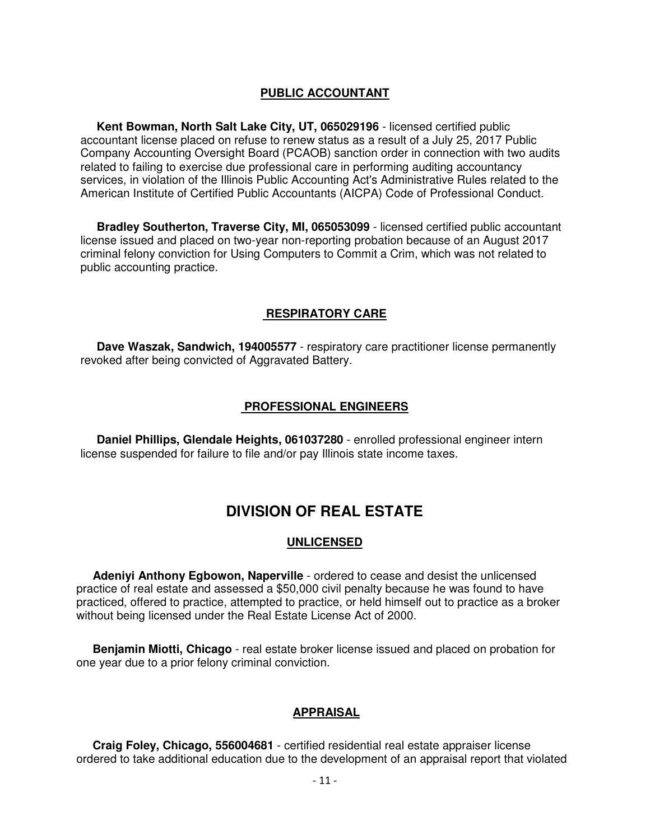# **PUBLIC ACCOUNTANT**

 **Kent Bowman, North Salt Lake City, UT, 065029196** - licensed certified public accountant license placed on refuse to renew status as a result of a July 25, 2017 Public Company Accounting Oversight Board (PCAOB) sanction order in connection with two audits related to failing to exercise due professional care in performing auditing accountancy services, in violation of the Illinois Public Accounting Act's Administrative Rules related to the American Institute of Certified Public Accountants (AICPA) Code of Professional Conduct.

 **Bradley Southerton, Traverse City, MI, 065053099** - licensed certified public accountant license issued and placed on two-year non-reporting probation because of an August 2017 criminal felony conviction for Using Computers to Commit a Crim, which was not related to public accounting practice.

# **RESPIRATORY CARE**

 **Dave Waszak, Sandwich, 194005577** - respiratory care practitioner license permanently revoked after being convicted of Aggravated Battery.

# **PROFESSIONAL ENGINEERS**

 **Daniel Phillips, Glendale Heights, 061037280** - enrolled professional engineer intern license suspended for failure to file and/or pay Illinois state income taxes.

# **DIVISION OF REAL ESTATE**

## **UNLICENSED**

 **Adeniyi Anthony Egbowon, Naperville** - ordered to cease and desist the unlicensed practice of real estate and assessed a \$50,000 civil penalty because he was found to have practiced, offered to practice, attempted to practice, or held himself out to practice as a broker without being licensed under the Real Estate License Act of 2000.

 **Benjamin Miotti, Chicago** - real estate broker license issued and placed on probation for one year due to a prior felony criminal conviction.

# **APPRAISAL**

 **Craig Foley, Chicago, 556004681** - certified residential real estate appraiser license ordered to take additional education due to the development of an appraisal report that violated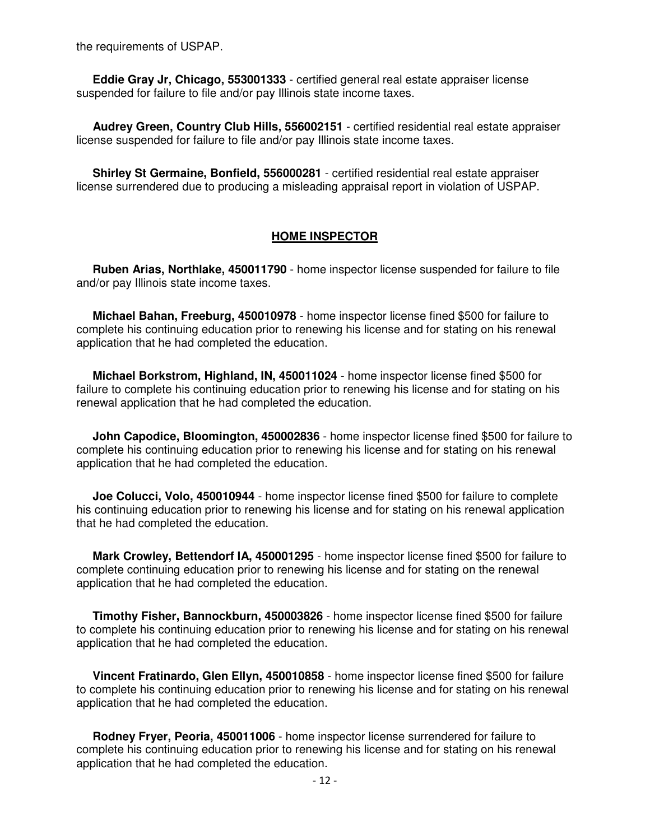the requirements of USPAP.

 **Eddie Gray Jr, Chicago, 553001333** - certified general real estate appraiser license suspended for failure to file and/or pay Illinois state income taxes.

 **Audrey Green, Country Club Hills, 556002151** - certified residential real estate appraiser license suspended for failure to file and/or pay Illinois state income taxes.

 **Shirley St Germaine, Bonfield, 556000281** - certified residential real estate appraiser license surrendered due to producing a misleading appraisal report in violation of USPAP.

#### **HOME INSPECTOR**

 **Ruben Arias, Northlake, 450011790** - home inspector license suspended for failure to file and/or pay Illinois state income taxes.

 **Michael Bahan, Freeburg, 450010978** - home inspector license fined \$500 for failure to complete his continuing education prior to renewing his license and for stating on his renewal application that he had completed the education.

 **Michael Borkstrom, Highland, IN, 450011024** - home inspector license fined \$500 for failure to complete his continuing education prior to renewing his license and for stating on his renewal application that he had completed the education.

 **John Capodice, Bloomington, 450002836** - home inspector license fined \$500 for failure to complete his continuing education prior to renewing his license and for stating on his renewal application that he had completed the education.

 **Joe Colucci, Volo, 450010944** - home inspector license fined \$500 for failure to complete his continuing education prior to renewing his license and for stating on his renewal application that he had completed the education.

 **Mark Crowley, Bettendorf IA, 450001295** - home inspector license fined \$500 for failure to complete continuing education prior to renewing his license and for stating on the renewal application that he had completed the education.

 **Timothy Fisher, Bannockburn, 450003826** - home inspector license fined \$500 for failure to complete his continuing education prior to renewing his license and for stating on his renewal application that he had completed the education.

 **Vincent Fratinardo, Glen Ellyn, 450010858** - home inspector license fined \$500 for failure to complete his continuing education prior to renewing his license and for stating on his renewal application that he had completed the education.

 **Rodney Fryer, Peoria, 450011006** - home inspector license surrendered for failure to complete his continuing education prior to renewing his license and for stating on his renewal application that he had completed the education.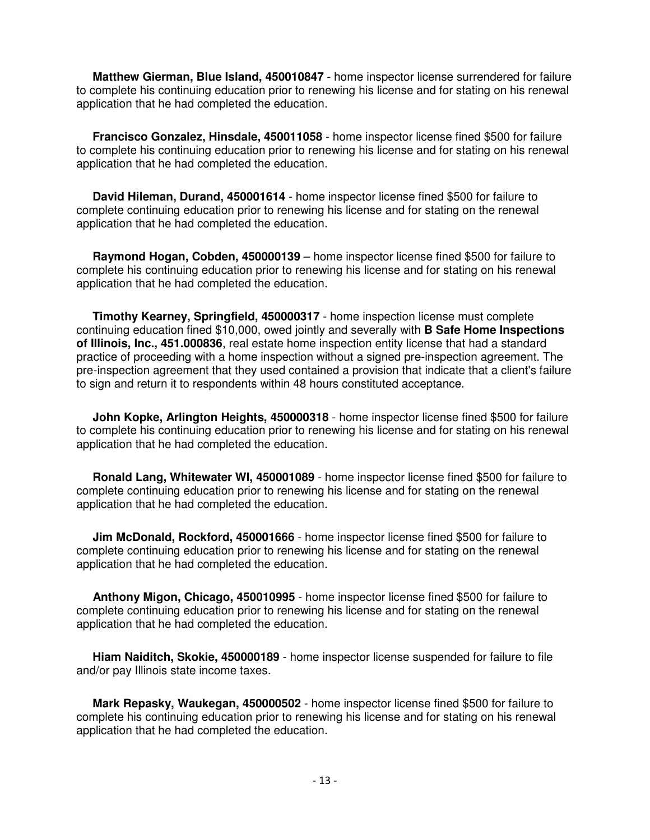**Matthew Gierman, Blue Island, 450010847** - home inspector license surrendered for failure to complete his continuing education prior to renewing his license and for stating on his renewal application that he had completed the education.

 **Francisco Gonzalez, Hinsdale, 450011058** - home inspector license fined \$500 for failure to complete his continuing education prior to renewing his license and for stating on his renewal application that he had completed the education.

 **David Hileman, Durand, 450001614** - home inspector license fined \$500 for failure to complete continuing education prior to renewing his license and for stating on the renewal application that he had completed the education.

 **Raymond Hogan, Cobden, 450000139** – home inspector license fined \$500 for failure to complete his continuing education prior to renewing his license and for stating on his renewal application that he had completed the education.

 **Timothy Kearney, Springfield, 450000317** - home inspection license must complete continuing education fined \$10,000, owed jointly and severally with **B Safe Home Inspections of Illinois, Inc., 451.000836**, real estate home inspection entity license that had a standard practice of proceeding with a home inspection without a signed pre-inspection agreement. The pre-inspection agreement that they used contained a provision that indicate that a client's failure to sign and return it to respondents within 48 hours constituted acceptance.

 **John Kopke, Arlington Heights, 450000318** - home inspector license fined \$500 for failure to complete his continuing education prior to renewing his license and for stating on his renewal application that he had completed the education.

 **Ronald Lang, Whitewater WI, 450001089** - home inspector license fined \$500 for failure to complete continuing education prior to renewing his license and for stating on the renewal application that he had completed the education.

 **Jim McDonald, Rockford, 450001666** - home inspector license fined \$500 for failure to complete continuing education prior to renewing his license and for stating on the renewal application that he had completed the education.

 **Anthony Migon, Chicago, 450010995** - home inspector license fined \$500 for failure to complete continuing education prior to renewing his license and for stating on the renewal application that he had completed the education.

 **Hiam Naiditch, Skokie, 450000189** - home inspector license suspended for failure to file and/or pay Illinois state income taxes.

 **Mark Repasky, Waukegan, 450000502** - home inspector license fined \$500 for failure to complete his continuing education prior to renewing his license and for stating on his renewal application that he had completed the education.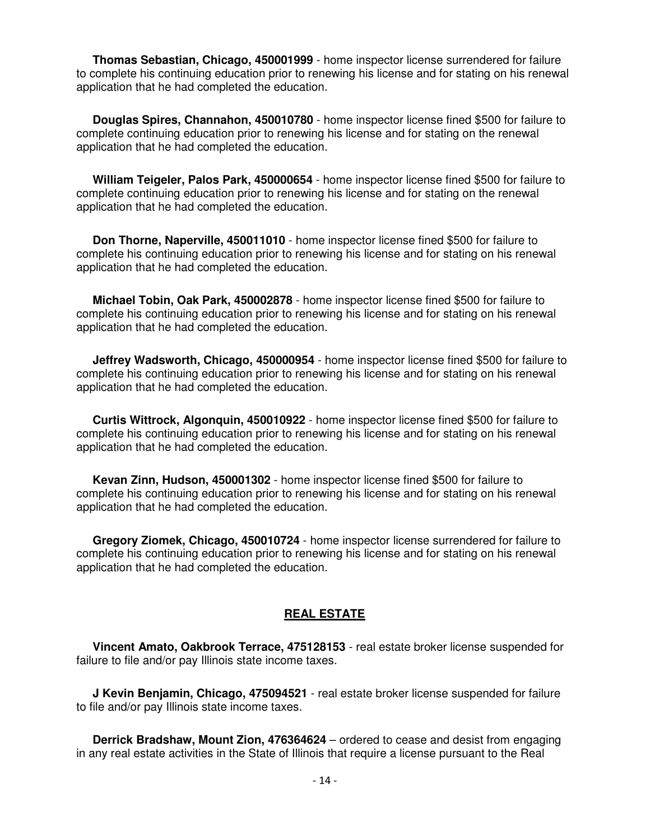**Thomas Sebastian, Chicago, 450001999** - home inspector license surrendered for failure to complete his continuing education prior to renewing his license and for stating on his renewal application that he had completed the education.

 **Douglas Spires, Channahon, 450010780** - home inspector license fined \$500 for failure to complete continuing education prior to renewing his license and for stating on the renewal application that he had completed the education.

 **William Teigeler, Palos Park, 450000654** - home inspector license fined \$500 for failure to complete continuing education prior to renewing his license and for stating on the renewal application that he had completed the education.

 **Don Thorne, Naperville, 450011010** - home inspector license fined \$500 for failure to complete his continuing education prior to renewing his license and for stating on his renewal application that he had completed the education.

 **Michael Tobin, Oak Park, 450002878** - home inspector license fined \$500 for failure to complete his continuing education prior to renewing his license and for stating on his renewal application that he had completed the education.

 **Jeffrey Wadsworth, Chicago, 450000954** - home inspector license fined \$500 for failure to complete his continuing education prior to renewing his license and for stating on his renewal application that he had completed the education.

 **Curtis Wittrock, Algonquin, 450010922** - home inspector license fined \$500 for failure to complete his continuing education prior to renewing his license and for stating on his renewal application that he had completed the education.

 **Kevan Zinn, Hudson, 450001302** - home inspector license fined \$500 for failure to complete his continuing education prior to renewing his license and for stating on his renewal application that he had completed the education.

 **Gregory Ziomek, Chicago, 450010724** - home inspector license surrendered for failure to complete his continuing education prior to renewing his license and for stating on his renewal application that he had completed the education.

## **REAL ESTATE**

 **Vincent Amato, Oakbrook Terrace, 475128153** - real estate broker license suspended for failure to file and/or pay Illinois state income taxes.

 **J Kevin Benjamin, Chicago, 475094521** - real estate broker license suspended for failure to file and/or pay Illinois state income taxes.

 **Derrick Bradshaw, Mount Zion, 476364624** – ordered to cease and desist from engaging in any real estate activities in the State of Illinois that require a license pursuant to the Real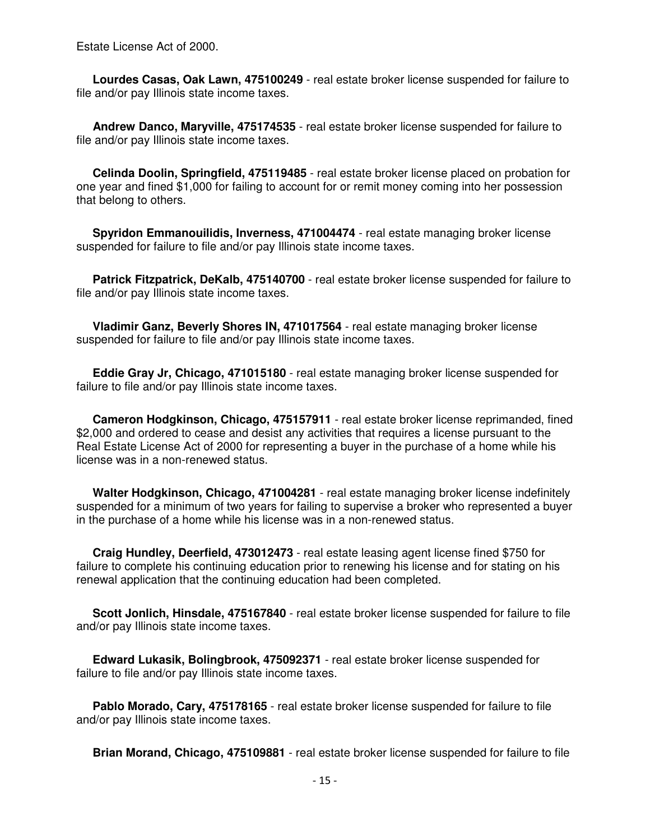Estate License Act of 2000.

 **Lourdes Casas, Oak Lawn, 475100249** - real estate broker license suspended for failure to file and/or pay Illinois state income taxes.

 **Andrew Danco, Maryville, 475174535** - real estate broker license suspended for failure to file and/or pay Illinois state income taxes.

 **Celinda Doolin, Springfield, 475119485** - real estate broker license placed on probation for one year and fined \$1,000 for failing to account for or remit money coming into her possession that belong to others.

 **Spyridon Emmanouilidis, Inverness, 471004474** - real estate managing broker license suspended for failure to file and/or pay Illinois state income taxes.

Patrick Fitzpatrick, DeKalb, 475140700 - real estate broker license suspended for failure to file and/or pay Illinois state income taxes.

 **Vladimir Ganz, Beverly Shores IN, 471017564** - real estate managing broker license suspended for failure to file and/or pay Illinois state income taxes.

 **Eddie Gray Jr, Chicago, 471015180** - real estate managing broker license suspended for failure to file and/or pay Illinois state income taxes.

 **Cameron Hodgkinson, Chicago, 475157911** - real estate broker license reprimanded, fined \$2,000 and ordered to cease and desist any activities that requires a license pursuant to the Real Estate License Act of 2000 for representing a buyer in the purchase of a home while his license was in a non-renewed status.

 **Walter Hodgkinson, Chicago, 471004281** - real estate managing broker license indefinitely suspended for a minimum of two years for failing to supervise a broker who represented a buyer in the purchase of a home while his license was in a non-renewed status.

 **Craig Hundley, Deerfield, 473012473** - real estate leasing agent license fined \$750 for failure to complete his continuing education prior to renewing his license and for stating on his renewal application that the continuing education had been completed.

 **Scott Jonlich, Hinsdale, 475167840** - real estate broker license suspended for failure to file and/or pay Illinois state income taxes.

 **Edward Lukasik, Bolingbrook, 475092371** - real estate broker license suspended for failure to file and/or pay Illinois state income taxes.

 **Pablo Morado, Cary, 475178165** - real estate broker license suspended for failure to file and/or pay Illinois state income taxes.

**Brian Morand, Chicago, 475109881** - real estate broker license suspended for failure to file